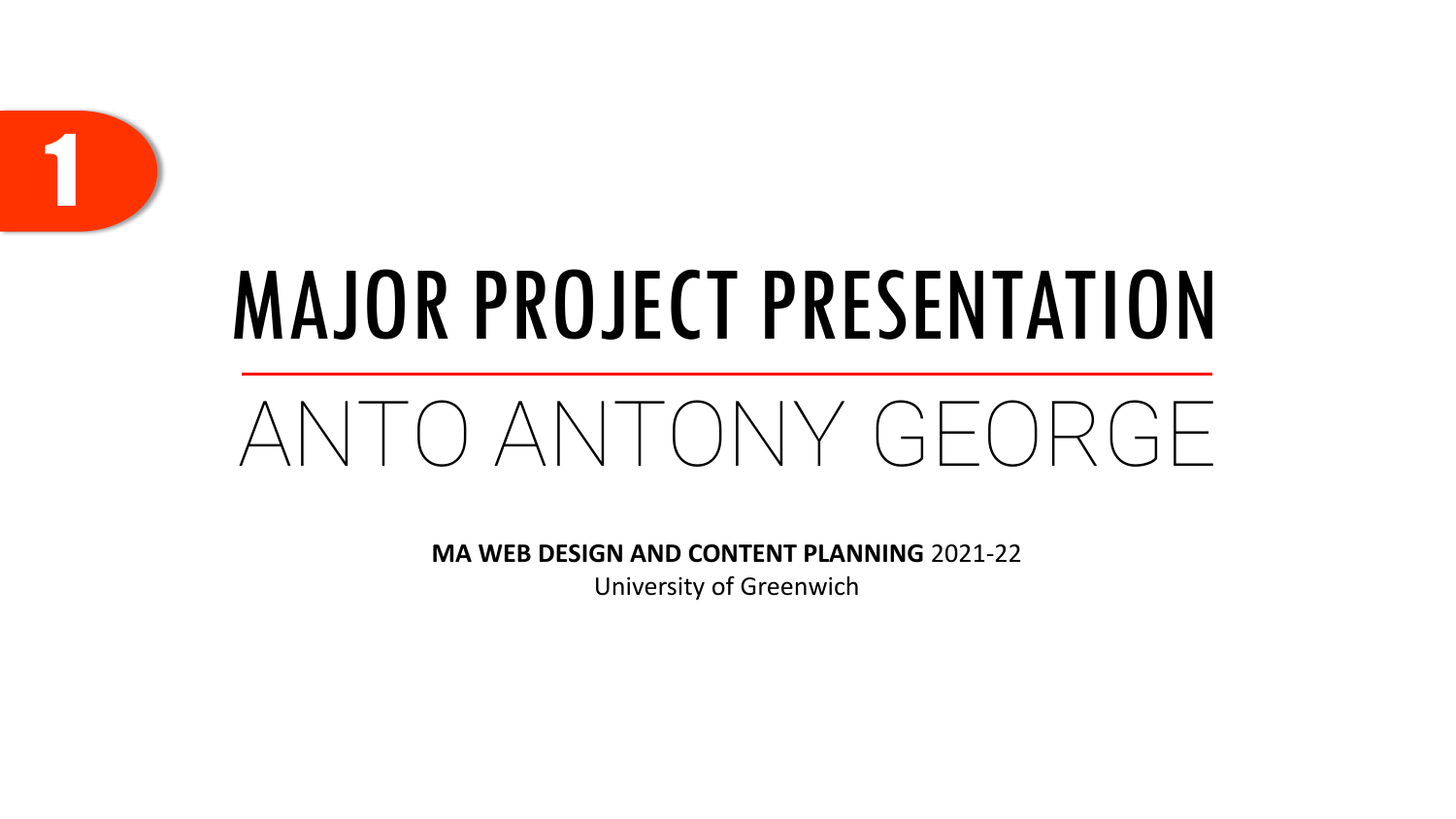

## MAJOR PROJECT PRESENTATION

### ANTO ANTONY GEORGE

**MA WEB DESIGN AND CONTENT PLANNING** 2021-22 University of Greenwich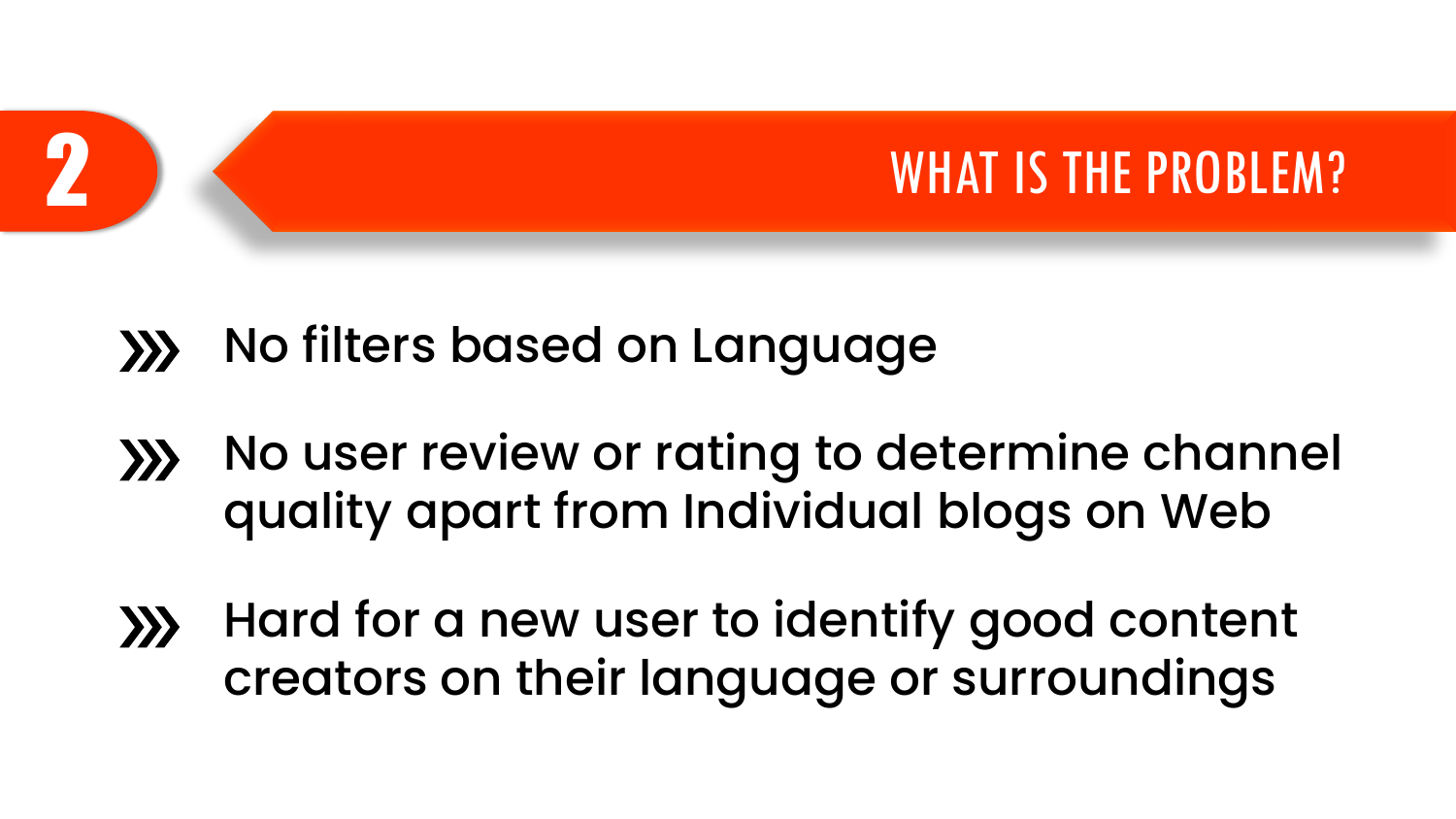

- No filters based on Language  $\sum$
- No user review or rating to determine channel  $\left\langle \right\rangle$ quality apart from Individual blogs on Web
- Hard for a new user to identify good content  $\left\langle \right\rangle$ creators on their language or surroundings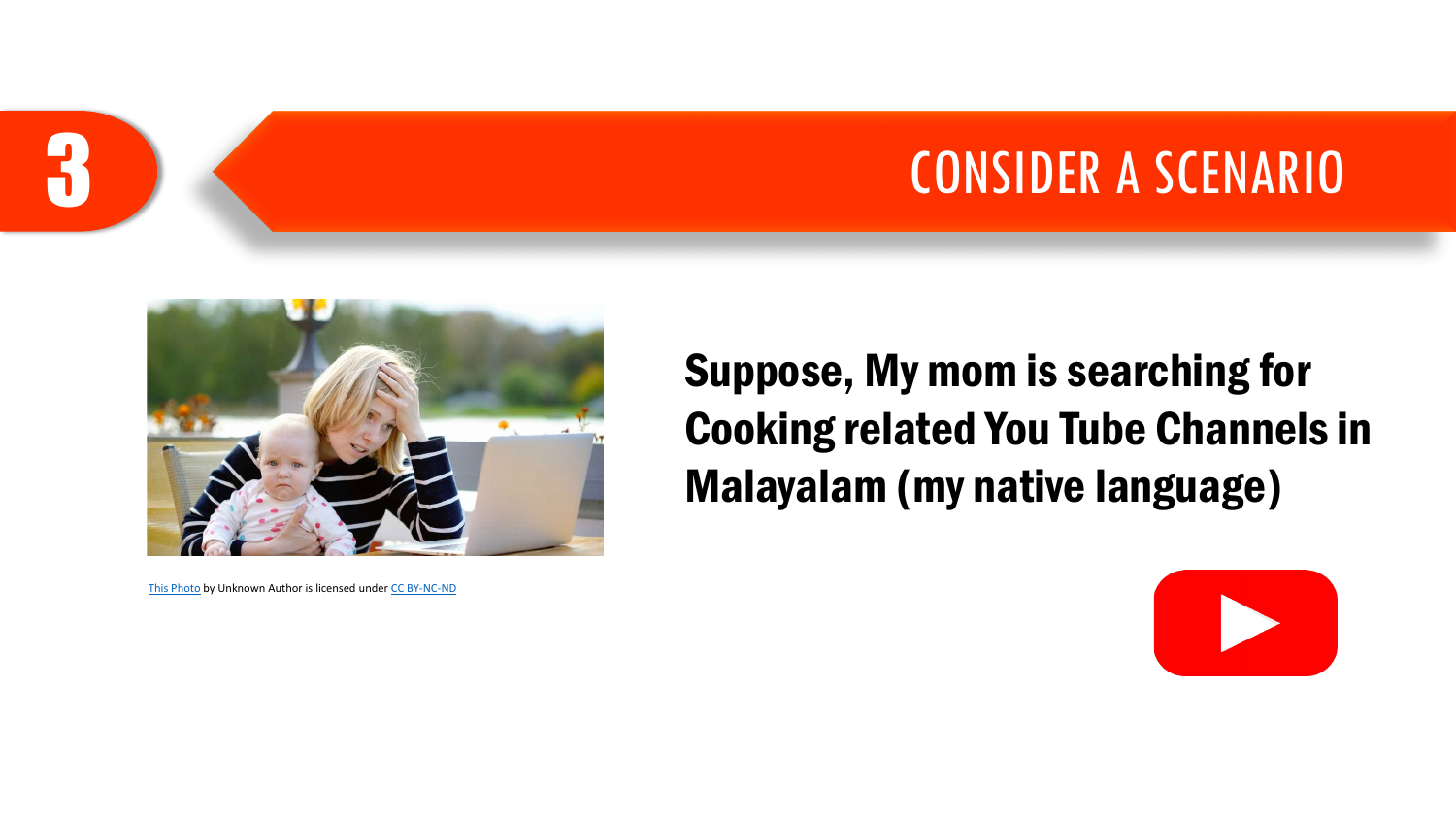#### CONSIDER A SCENARIO



[This Photo](http://news.schoolsdo.org/2016/09/working-moms-need-support/) by Unknown Author is licensed under [CC BY-NC-ND](https://creativecommons.org/licenses/by-nc-nd/3.0/)

3

Suppose, My mom is searching for Cooking related You Tube Channels in Malayalam (my native language)

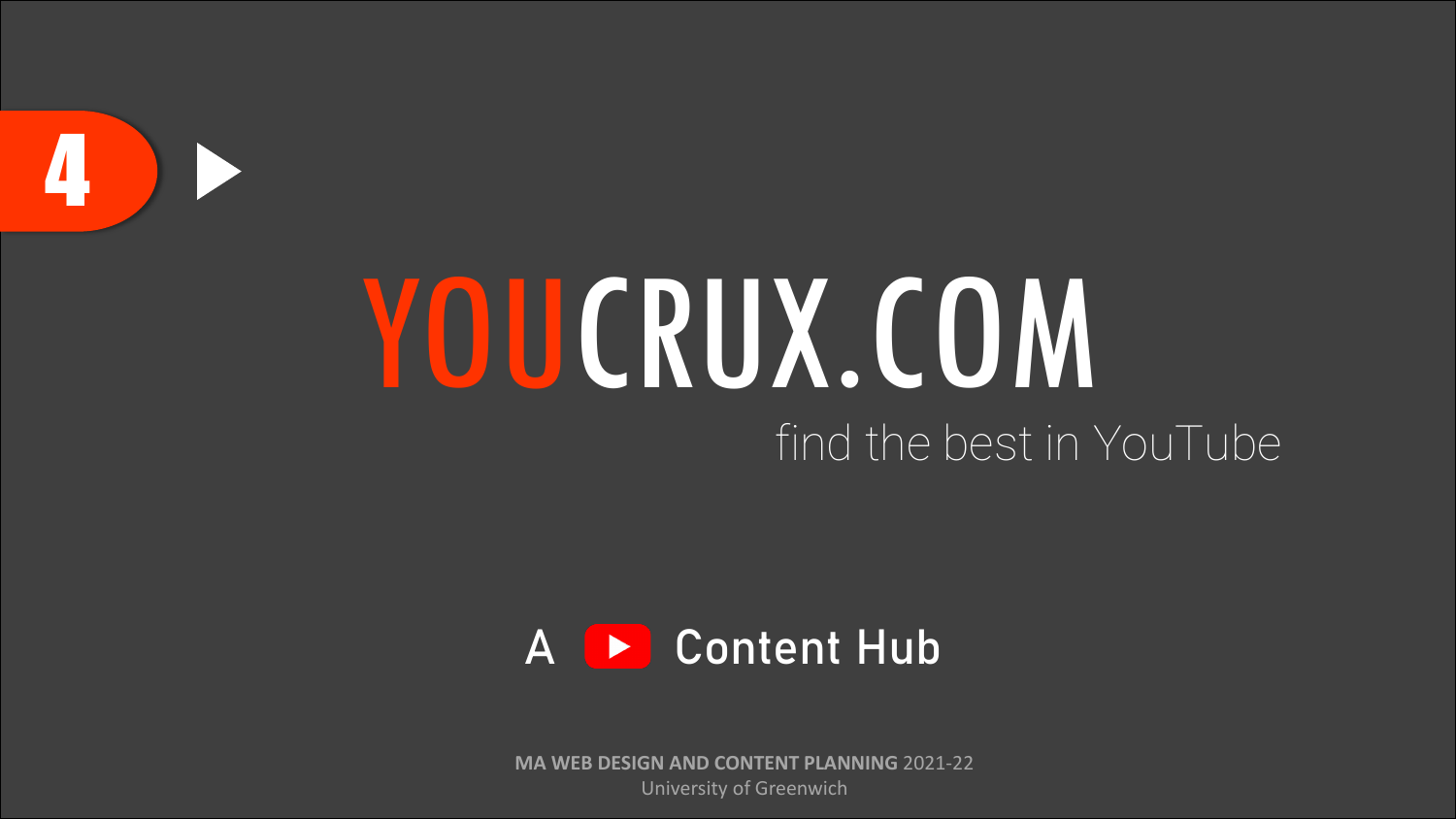

# YOUCRUX.COM find the best in YouTube



**MA WEB DESIGN AND CONTENT PLANNING** 2021-22 University of Greenwich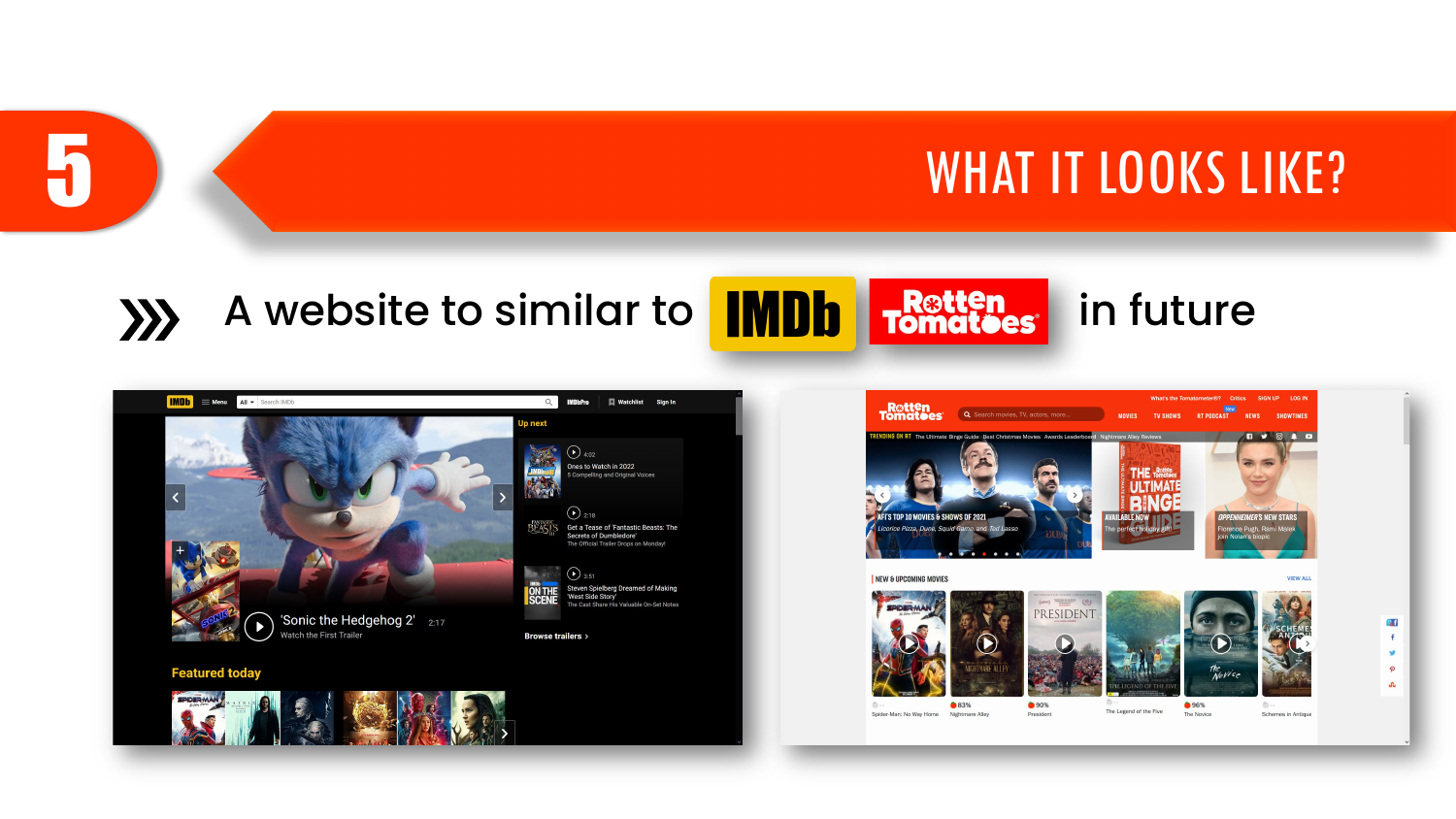### 5 WHAT IT LOOKS LIKE?

#### A website to similar to **IMDh** restten in future  $\left\langle \right\rangle$



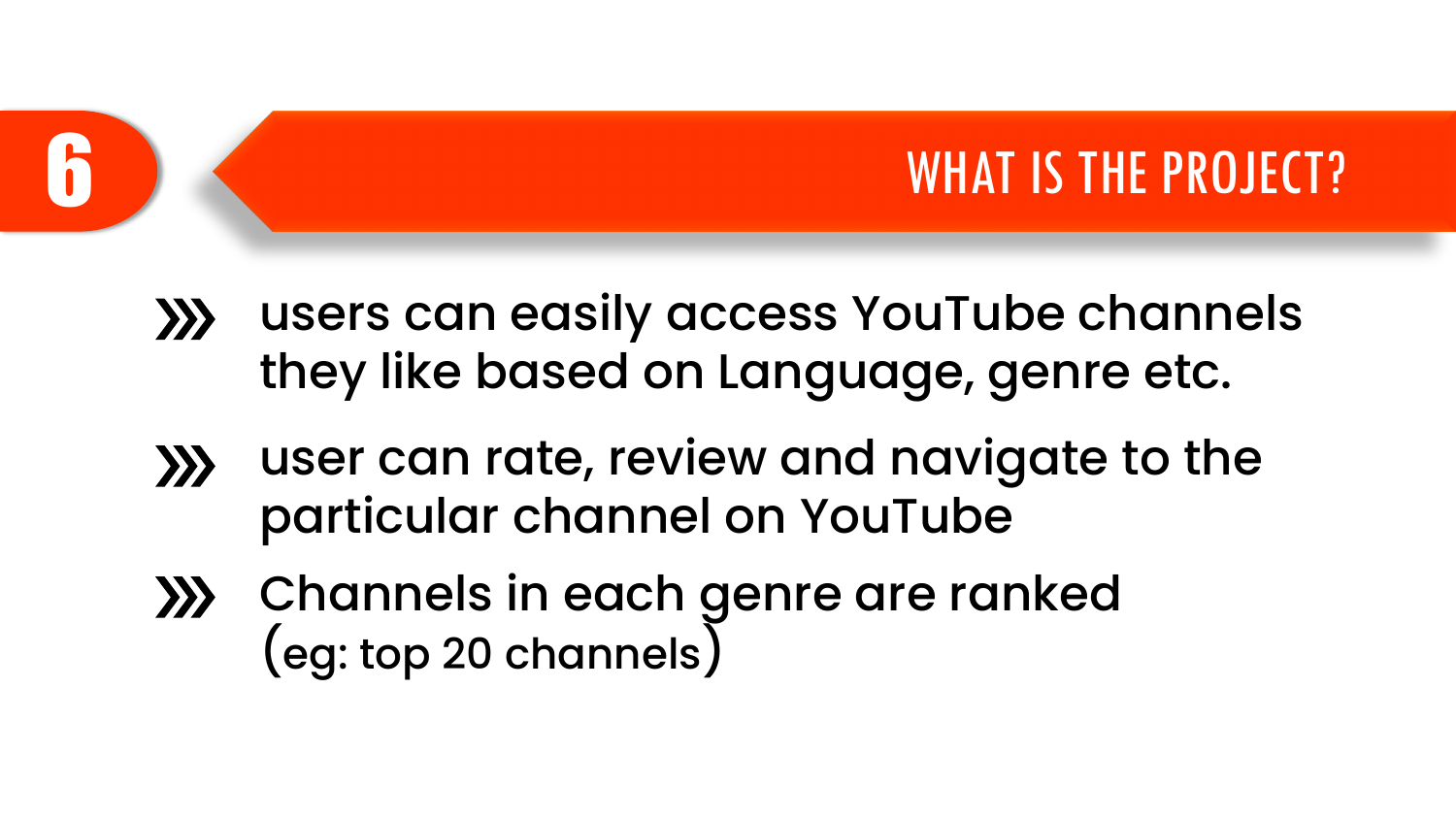#### WHAT IS THE PROJECT?

- users can easily access YouTube channels  $\sum$ they like based on Language, genre etc.
- user can rate, review and navigate to the  $\gg$ particular channel on YouTube
- Channels in each genre are ranked (eg: top 20 channels)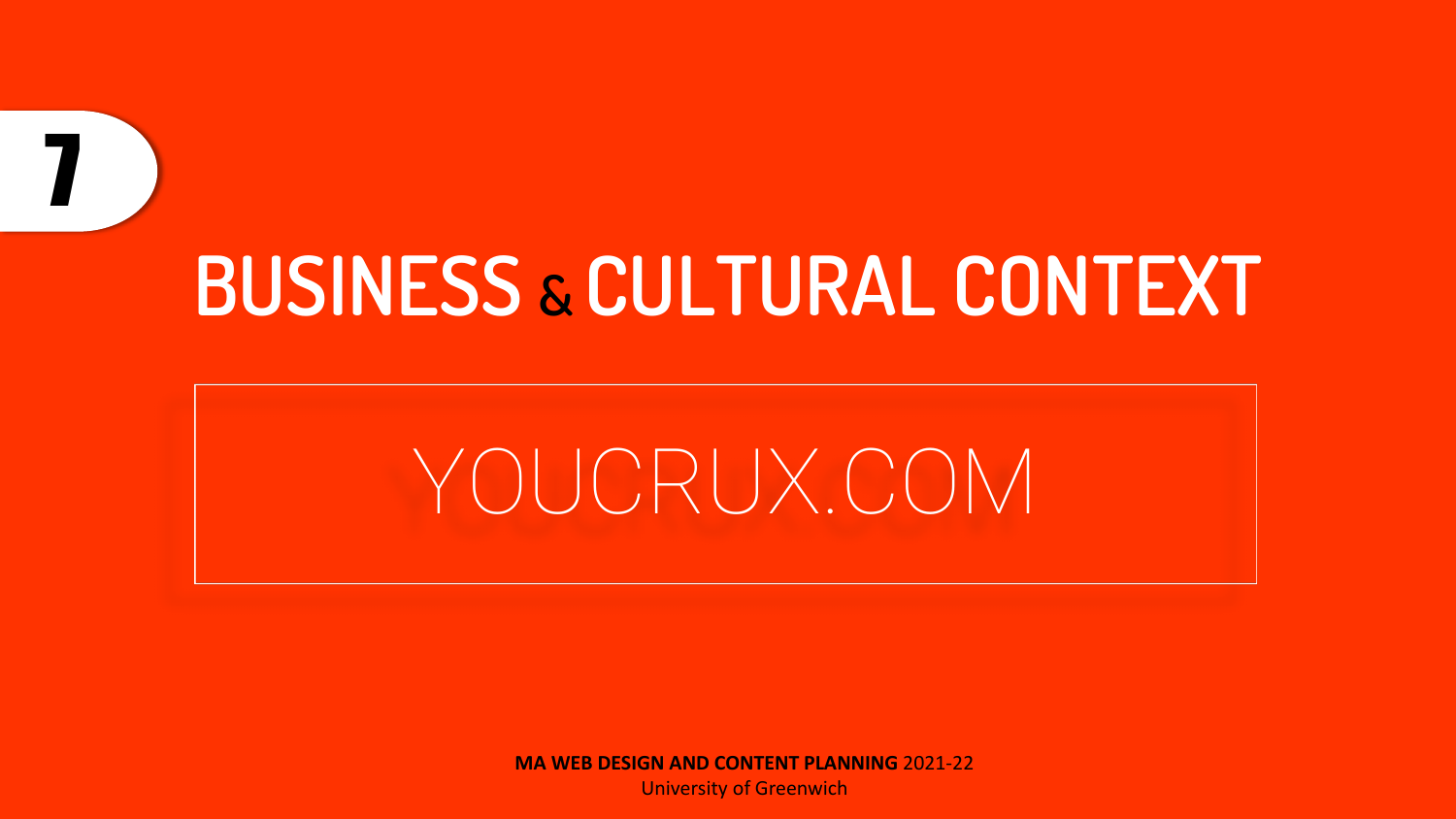### **BUSINESS & CULTURAL CONTEXT**

7

### YOUCRUX.COM

**MA WEB DESIGN AND CONTENT PLANNING** 2021-22

University of Greenwich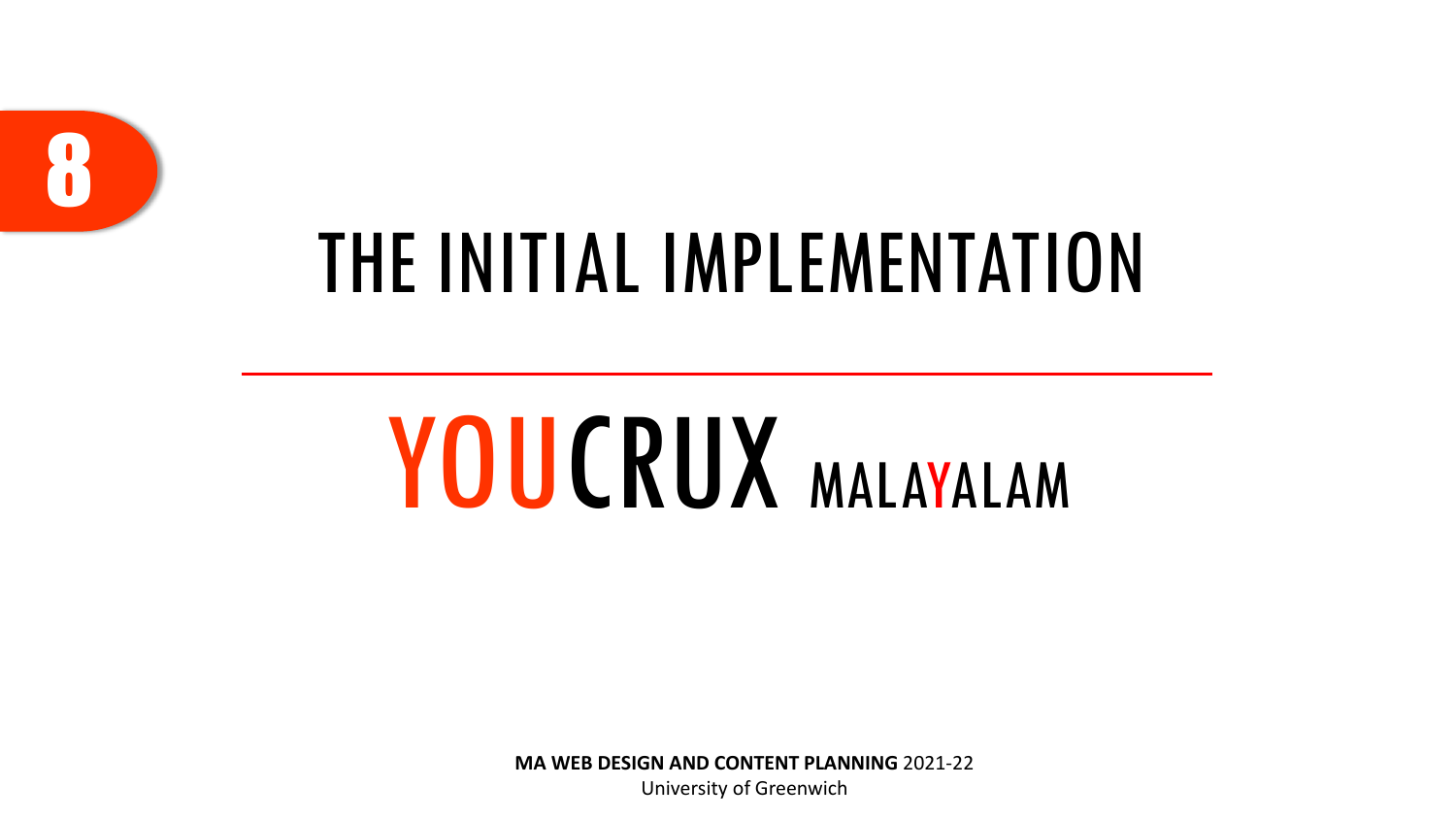

### THE INITIAL IMPLEMENTATION

# YOUCRUX MALAYALAM

**MA WEB DESIGN AND CONTENT PLANNING** 2021-22

University of Greenwich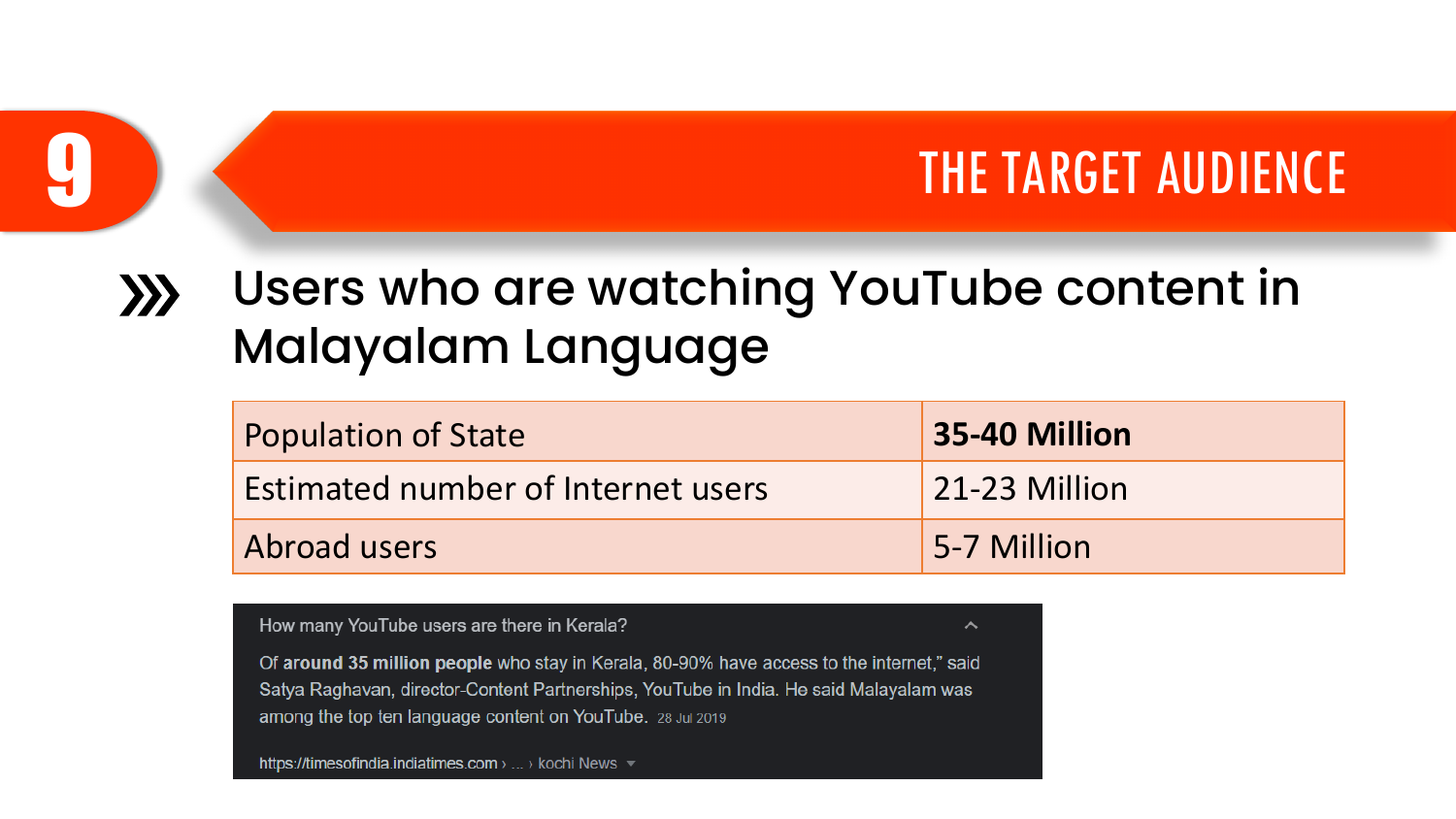#### THE TARGET AUDIENCE

#### Users who are watching YouTube content in  $\left\langle \right\rangle$ Malayalam Language

| <b>Population of State</b>                | 35-40 Million |
|-------------------------------------------|---------------|
| <b>Estimated number of Internet users</b> | 21-23 Million |
| Abroad users                              | 5-7 Million   |

ㅅ

How many YouTube users are there in Kerala?

Of around 35 million people who stay in Kerala, 80-90% have access to the internet," said Satya Raghavan, director-Content Partnerships, YouTube in India. He said Malayalam was among the top ten language content on YouTube. 28 Jul 2019

https://timesofindia.indiatimes.com > ... > kochi News  $\sqrt{ }$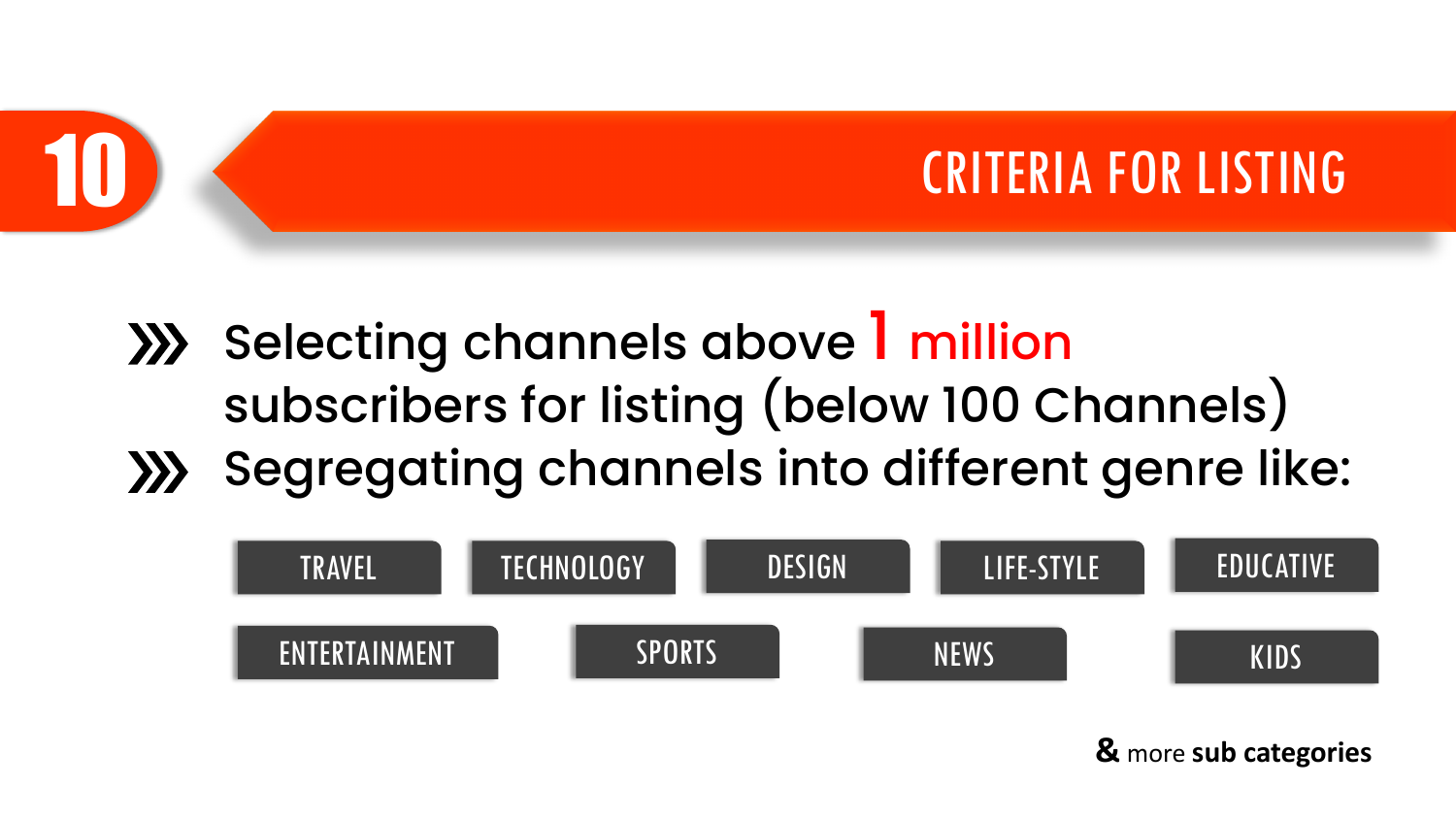

- **XX** Selecting channels above 1 million subscribers for listing (below 100 Channels)
- **XX** Segregating channels into different genre like:



**&** more **sub categories**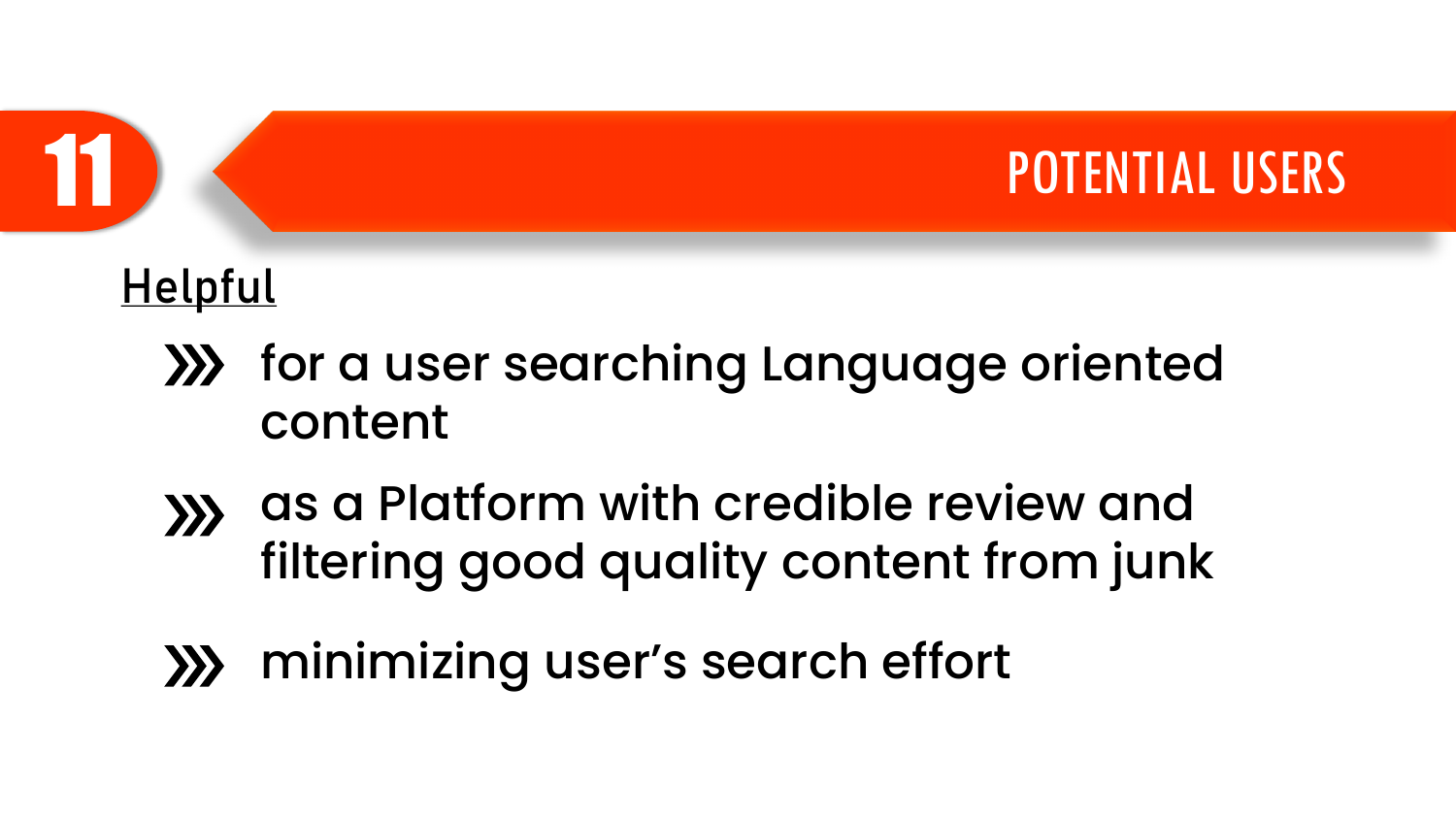

#### **Helpful**

- **XX** for a user searching Language oriented content
- as a Platform with credible review and  $\left\langle \right\rangle$ filtering good quality content from junk
- minimizing user's search effort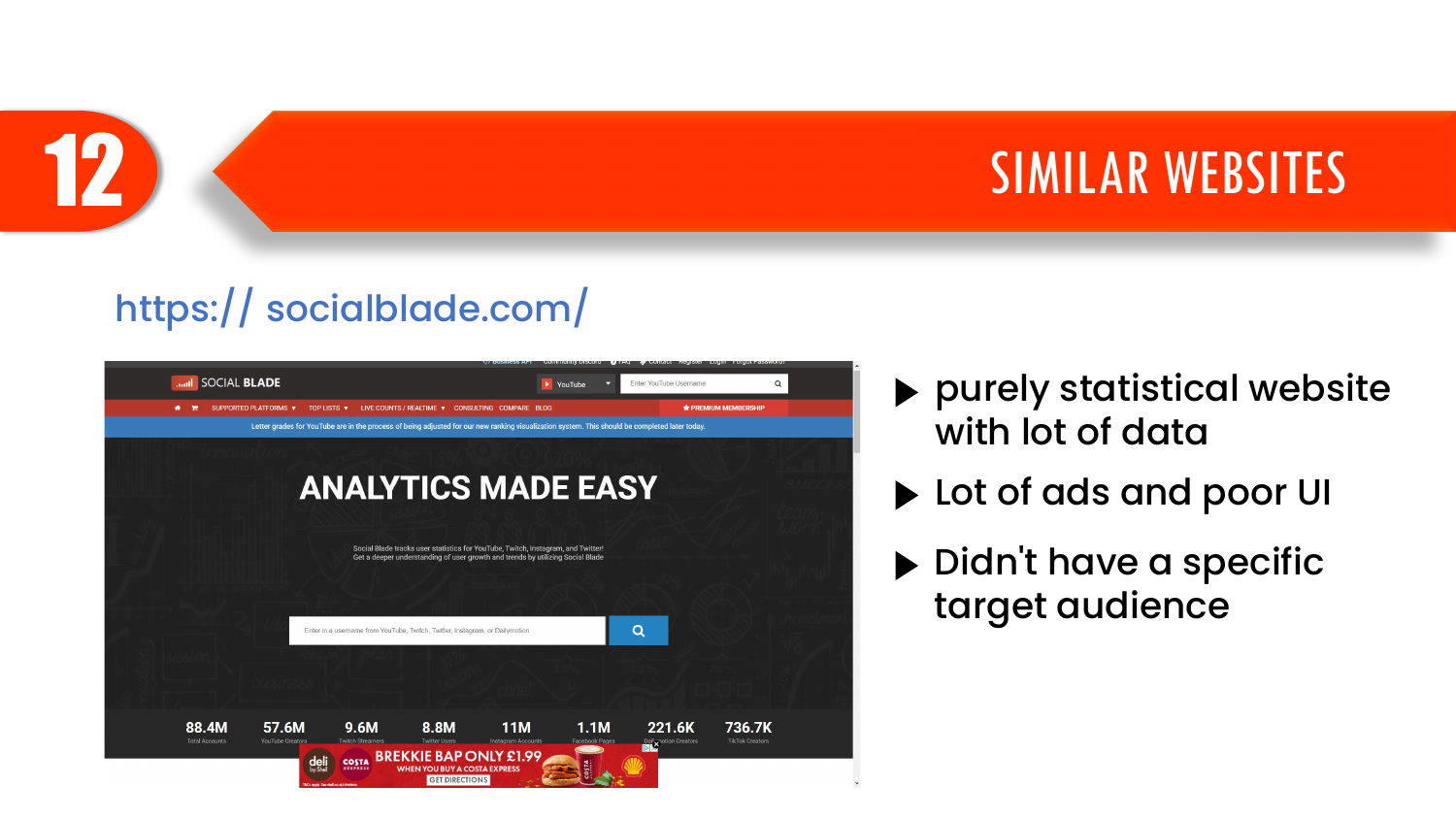

#### https:// socialblade.com/



- purely statistical website with lot of data
- ▶ Lot of ads and poor UI
- ▶ Didn't have a specific target audience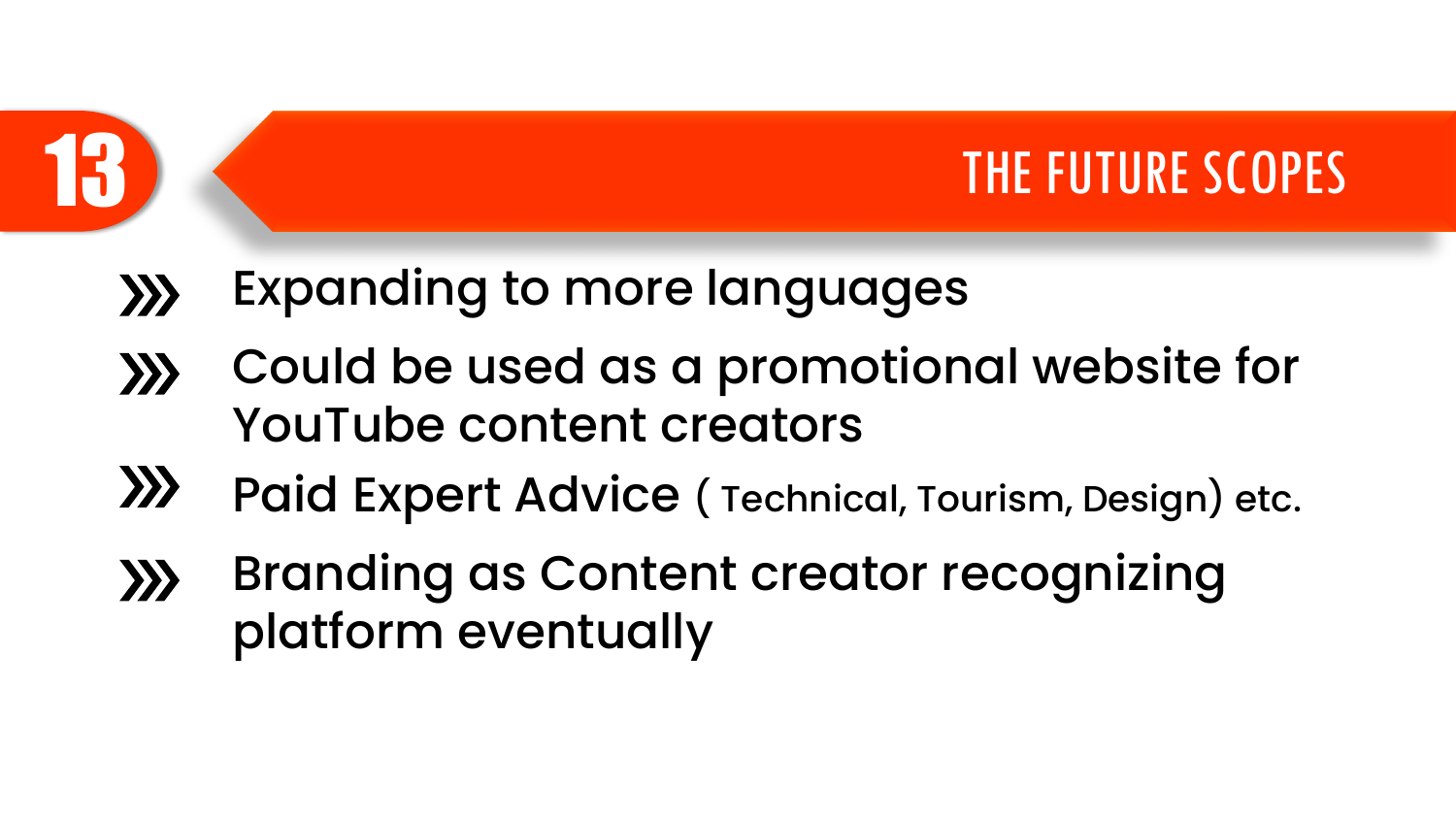



- Expanding to more languages  $\gg$
- Could be used as a promotional website for  $\gg$ YouTube content creators
- $\sum$ Paid Expert Advice ( Technical, Tourism, Design) etc.
- Branding as Content creator recognizing  $\gg$ platform eventually